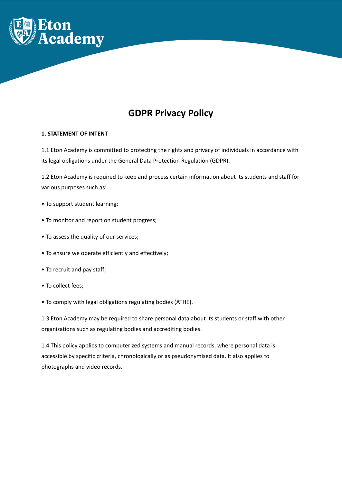

# **GDPR Privacy Policy**

## **1. STATEMENT OF INTENT**

1.1 Eton Academy is committed to protecting the rights and privacy of individuals in accordance with its legal obligations under the General Data Protection Regulation (GDPR).

1.2 Eton Academy is required to keep and process certain information about its students and staff for various purposes such as:

- To support student learning;
- To monitor and report on student progress;
- To assess the quality of our services;
- To ensure we operate efficiently and effectively;
- To recruit and pay staff;
- To collect fees;
- To comply with legal obligations regulating bodies (ATHE).

1.3 Eton Academy may be required to share personal data about its students or staff with other organizations such as regulating bodies and accrediting bodies.

1.4 This policy applies to computerized systems and manual records, where personal data is accessible by specific criteria, chronologically or as pseudonymised data. It also applies to photographs and video records.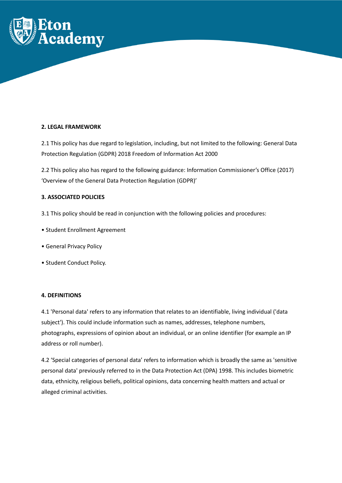

# **2. LEGAL FRAMEWORK**

2.1 This policy has due regard to legislation, including, but not limited to the following: General Data Protection Regulation (GDPR) 2018 Freedom of Information Act 2000

2.2 This policy also has regard to the following guidance: Information Commissioner's Office (2017) 'Overview of the General Data Protection Regulation (GDPR)'

# **3. ASSOCIATED POLICIES**

- 3.1 This policy should be read in conjunction with the following policies and procedures:
- Student Enrollment Agreement
- General Privacy Policy
- Student Conduct Policy.

## **4. DEFINITIONS**

4.1 'Personal data' refers to any information that relates to an identifiable, living individual ('data subject'). This could include information such as names, addresses, telephone numbers, photographs, expressions of opinion about an individual, or an online identifier (for example an IP address or roll number).

4.2 'Special categories of personal data' refers to information which is broadly the same as 'sensitive personal data' previously referred to in the Data Protection Act (DPA) 1998. This includes biometric data, ethnicity, religious beliefs, political opinions, data concerning health matters and actual or alleged criminal activities.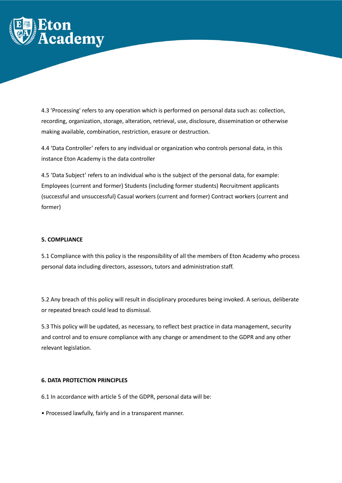

4.3 'Processing' refers to any operation which is performed on personal data such as: collection, recording, organization, storage, alteration, retrieval, use, disclosure, dissemination or otherwise making available, combination, restriction, erasure or destruction.

4.4 'Data Controller' refers to any individual or organization who controls personal data, in this instance Eton Academy is the data controller

4.5 'Data Subject' refers to an individual who is the subject of the personal data, for example: Employees (current and former) Students (including former students) Recruitment applicants (successful and unsuccessful) Casual workers (current and former) Contract workers (current and former)

# **5. COMPLIANCE**

5.1 Compliance with this policy is the responsibility of all the members of Eton Academy who process personal data including directors, assessors, tutors and administration staff.

5.2 Any breach of this policy will result in disciplinary procedures being invoked. A serious, deliberate or repeated breach could lead to dismissal.

5.3 This policy will be updated, as necessary, to reflect best practice in data management, security and control and to ensure compliance with any change or amendment to the GDPR and any other relevant legislation.

## **6. DATA PROTECTION PRINCIPLES**

- 6.1 In accordance with article 5 of the GDPR, personal data will be:
- Processed lawfully, fairly and in a transparent manner.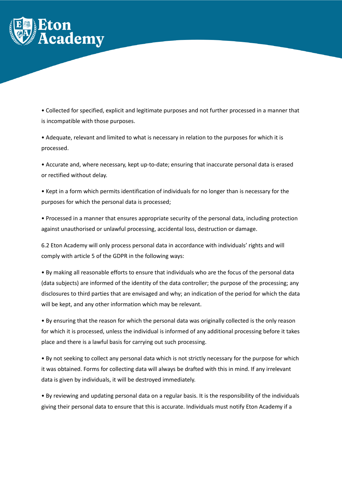

• Collected for specified, explicit and legitimate purposes and not further processed in a manner that is incompatible with those purposes.

• Adequate, relevant and limited to what is necessary in relation to the purposes for which it is processed.

• Accurate and, where necessary, kept up-to-date; ensuring that inaccurate personal data is erased or rectified without delay.

• Kept in a form which permits identification of individuals for no longer than is necessary for the purposes for which the personal data is processed;

• Processed in a manner that ensures appropriate security of the personal data, including protection against unauthorised or unlawful processing, accidental loss, destruction or damage.

6.2 Eton Academy will only process personal data in accordance with individuals' rights and will comply with article 5 of the GDPR in the following ways:

• By making all reasonable efforts to ensure that individuals who are the focus of the personal data (data subjects) are informed of the identity of the data controller; the purpose of the processing; any disclosures to third parties that are envisaged and why; an indication of the period for which the data will be kept, and any other information which may be relevant.

• By ensuring that the reason for which the personal data was originally collected is the only reason for which it is processed, unless the individual is informed of any additional processing before it takes place and there is a lawful basis for carrying out such processing.

• By not seeking to collect any personal data which is not strictly necessary for the purpose for which it was obtained. Forms for collecting data will always be drafted with this in mind. If any irrelevant data is given by individuals, it will be destroyed immediately.

• By reviewing and updating personal data on a regular basis. It is the responsibility of the individuals giving their personal data to ensure that this is accurate. Individuals must notify Eton Academy if a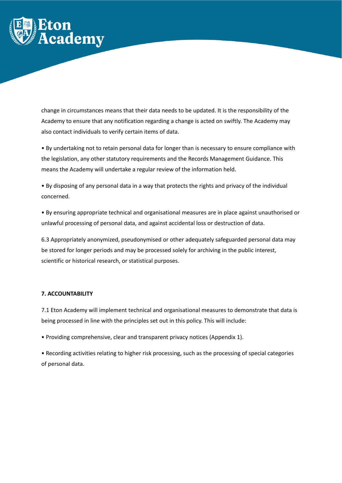

change in circumstances means that their data needs to be updated. It is the responsibility of the Academy to ensure that any notification regarding a change is acted on swiftly. The Academy may also contact individuals to verify certain items of data.

• By undertaking not to retain personal data for longer than is necessary to ensure compliance with the legislation, any other statutory requirements and the Records Management Guidance. This means the Academy will undertake a regular review of the information held.

• By disposing of any personal data in a way that protects the rights and privacy of the individual concerned.

• By ensuring appropriate technical and organisational measures are in place against unauthorised or unlawful processing of personal data, and against accidental loss or destruction of data.

6.3 Appropriately anonymized, pseudonymised or other adequately safeguarded personal data may be stored for longer periods and may be processed solely for archiving in the public interest, scientific or historical research, or statistical purposes.

## **7. ACCOUNTABILITY**

7.1 Eton Academy will implement technical and organisational measures to demonstrate that data is being processed in line with the principles set out in this policy. This will include:

• Providing comprehensive, clear and transparent privacy notices (Appendix 1).

• Recording activities relating to higher risk processing, such as the processing of special categories of personal data.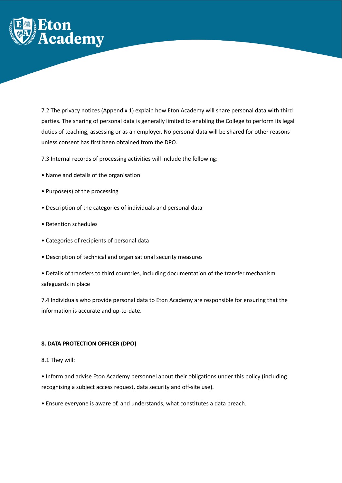

7.2 The privacy notices (Appendix 1) explain how Eton Academy will share personal data with third parties. The sharing of personal data is generally limited to enabling the College to perform its legal duties of teaching, assessing or as an employer. No personal data will be shared for other reasons unless consent has first been obtained from the DPO.

7.3 Internal records of processing activities will include the following:

- Name and details of the organisation
- Purpose(s) of the processing
- Description of the categories of individuals and personal data
- Retention schedules
- Categories of recipients of personal data
- Description of technical and organisational security measures
- Details of transfers to third countries, including documentation of the transfer mechanism safeguards in place

7.4 Individuals who provide personal data to Eton Academy are responsible for ensuring that the information is accurate and up-to-date.

# **8. DATA PROTECTION OFFICER (DPO)**

8.1 They will:

• Inform and advise Eton Academy personnel about their obligations under this policy (including recognising a subject access request, data security and off-site use).

• Ensure everyone is aware of, and understands, what constitutes a data breach.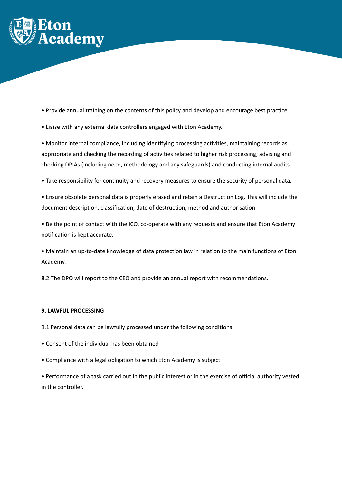

• Provide annual training on the contents of this policy and develop and encourage best practice.

• Liaise with any external data controllers engaged with Eton Academy.

• Monitor internal compliance, including identifying processing activities, maintaining records as appropriate and checking the recording of activities related to higher risk processing, advising and checking DPIAs (including need, methodology and any safeguards) and conducting internal audits.

• Take responsibility for continuity and recovery measures to ensure the security of personal data.

• Ensure obsolete personal data is properly erased and retain a Destruction Log. This will include the document description, classification, date of destruction, method and authorisation.

• Be the point of contact with the ICO, co-operate with any requests and ensure that Eton Academy notification is kept accurate.

• Maintain an up-to-date knowledge of data protection law in relation to the main functions of Eton Academy.

8.2 The DPO will report to the CEO and provide an annual report with recommendations.

## **9. LAWFUL PROCESSING**

9.1 Personal data can be lawfully processed under the following conditions:

- Consent of the individual has been obtained
- Compliance with a legal obligation to which Eton Academy is subject

• Performance of a task carried out in the public interest or in the exercise of official authority vested in the controller.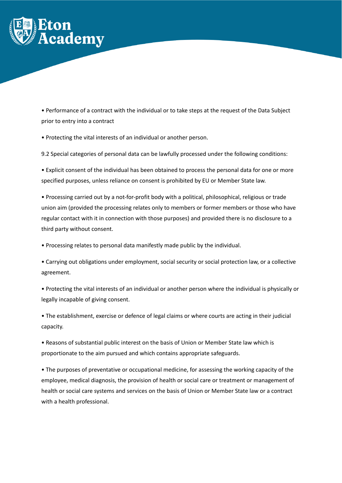

• Performance of a contract with the individual or to take steps at the request of the Data Subject prior to entry into a contract

• Protecting the vital interests of an individual or another person.

9.2 Special categories of personal data can be lawfully processed under the following conditions:

• Explicit consent of the individual has been obtained to process the personal data for one or more specified purposes, unless reliance on consent is prohibited by EU or Member State law.

• Processing carried out by a not-for-profit body with a political, philosophical, religious or trade union aim (provided the processing relates only to members or former members or those who have regular contact with it in connection with those purposes) and provided there is no disclosure to a third party without consent.

• Processing relates to personal data manifestly made public by the individual.

• Carrying out obligations under employment, social security or social protection law, or a collective agreement.

• Protecting the vital interests of an individual or another person where the individual is physically or legally incapable of giving consent.

• The establishment, exercise or defence of legal claims or where courts are acting in their judicial capacity.

• Reasons of substantial public interest on the basis of Union or Member State law which is proportionate to the aim pursued and which contains appropriate safeguards.

• The purposes of preventative or occupational medicine, for assessing the working capacity of the employee, medical diagnosis, the provision of health or social care or treatment or management of health or social care systems and services on the basis of Union or Member State law or a contract with a health professional.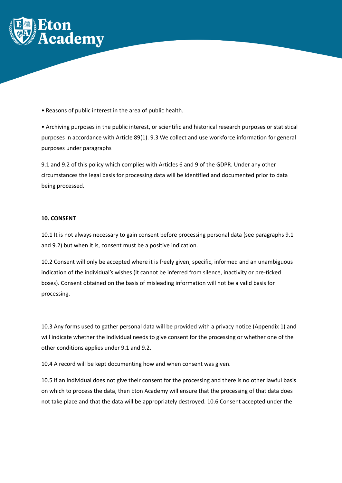

• Reasons of public interest in the area of public health.

• Archiving purposes in the public interest, or scientific and historical research purposes or statistical purposes in accordance with Article 89(1). 9.3 We collect and use workforce information for general purposes under paragraphs

9.1 and 9.2 of this policy which complies with Articles 6 and 9 of the GDPR. Under any other circumstances the legal basis for processing data will be identified and documented prior to data being processed.

## **10. CONSENT**

10.1 It is not always necessary to gain consent before processing personal data (see paragraphs 9.1 and 9.2) but when it is, consent must be a positive indication.

10.2 Consent will only be accepted where it is freely given, specific, informed and an unambiguous indication of the individual's wishes (it cannot be inferred from silence, inactivity or pre-ticked boxes). Consent obtained on the basis of misleading information will not be a valid basis for processing.

10.3 Any forms used to gather personal data will be provided with a privacy notice (Appendix 1) and will indicate whether the individual needs to give consent for the processing or whether one of the other conditions applies under 9.1 and 9.2.

10.4 A record will be kept documenting how and when consent was given.

10.5 If an individual does not give their consent for the processing and there is no other lawful basis on which to process the data, then Eton Academy will ensure that the processing of that data does not take place and that the data will be appropriately destroyed. 10.6 Consent accepted under the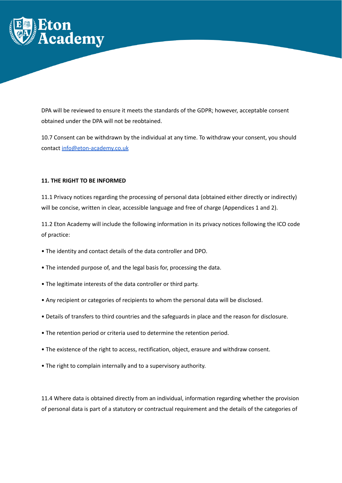

DPA will be reviewed to ensure it meets the standards of the GDPR; however, acceptable consent obtained under the DPA will not be reobtained.

10.7 Consent can be withdrawn by the individual at any time. To withdraw your consent, you should contact [info@eton-academy.co.uk](mailto:info@eton-academy.co.uk)

# **11. THE RIGHT TO BE INFORMED**

11.1 Privacy notices regarding the processing of personal data (obtained either directly or indirectly) will be concise, written in clear, accessible language and free of charge (Appendices 1 and 2).

11.2 Eton Academy will include the following information in its privacy notices following the ICO code of practice:

- The identity and contact details of the data controller and DPO.
- The intended purpose of, and the legal basis for, processing the data.
- The legitimate interests of the data controller or third party.
- Any recipient or categories of recipients to whom the personal data will be disclosed.
- Details of transfers to third countries and the safeguards in place and the reason for disclosure.
- The retention period or criteria used to determine the retention period.
- The existence of the right to access, rectification, object, erasure and withdraw consent.
- The right to complain internally and to a supervisory authority.

11.4 Where data is obtained directly from an individual, information regarding whether the provision of personal data is part of a statutory or contractual requirement and the details of the categories of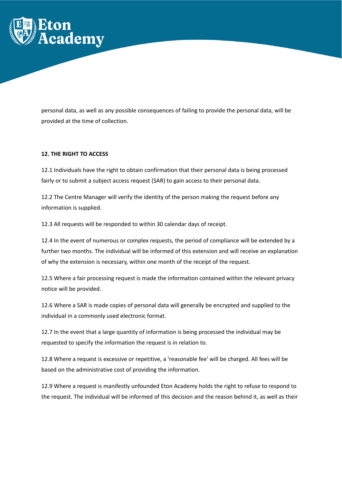

personal data, as well as any possible consequences of failing to provide the personal data, will be provided at the time of collection.

# **12. THE RIGHT TO ACCESS**

12.1 Individuals have the right to obtain confirmation that their personal data is being processed fairly or to submit a subject access request (SAR) to gain access to their personal data.

12.2 The Centre Manager will verify the identity of the person making the request before any information is supplied.

12.3 All requests will be responded to within 30 calendar days of receipt.

12.4 In the event of numerous or complex requests, the period of compliance will be extended by a further two months. The individual will be informed of this extension and will receive an explanation of why the extension is necessary, within one month of the receipt of the request.

12.5 Where a fair processing request is made the information contained within the relevant privacy notice will be provided.

12.6 Where a SAR is made copies of personal data will generally be encrypted and supplied to the individual in a commonly used electronic format.

12.7 In the event that a large quantity of information is being processed the individual may be requested to specify the information the request is in relation to.

12.8 Where a request is excessive or repetitive, a 'reasonable fee' will be charged. All fees will be based on the administrative cost of providing the information.

12.9 Where a request is manifestly unfounded Eton Academy holds the right to refuse to respond to the request. The individual will be informed of this decision and the reason behind it, as well as their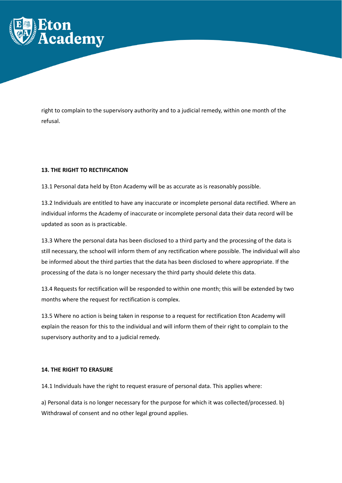

right to complain to the supervisory authority and to a judicial remedy, within one month of the refusal.

# **13. THE RIGHT TO RECTIFICATION**

13.1 Personal data held by Eton Academy will be as accurate as is reasonably possible.

13.2 Individuals are entitled to have any inaccurate or incomplete personal data rectified. Where an individual informs the Academy of inaccurate or incomplete personal data their data record will be updated as soon as is practicable.

13.3 Where the personal data has been disclosed to a third party and the processing of the data is still necessary, the school will inform them of any rectification where possible. The individual will also be informed about the third parties that the data has been disclosed to where appropriate. If the processing of the data is no longer necessary the third party should delete this data.

13.4 Requests for rectification will be responded to within one month; this will be extended by two months where the request for rectification is complex.

13.5 Where no action is being taken in response to a request for rectification Eton Academy will explain the reason for this to the individual and will inform them of their right to complain to the supervisory authority and to a judicial remedy.

# **14. THE RIGHT TO ERASURE**

14.1 Individuals have the right to request erasure of personal data. This applies where:

a) Personal data is no longer necessary for the purpose for which it was collected/processed. b) Withdrawal of consent and no other legal ground applies.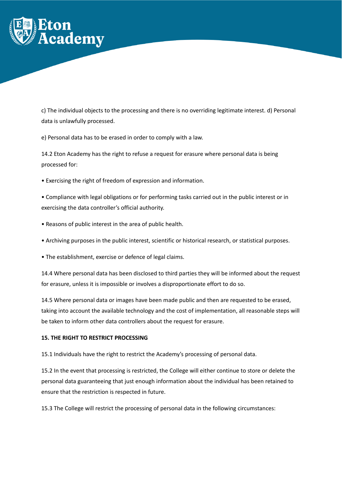

c) The individual objects to the processing and there is no overriding legitimate interest. d) Personal data is unlawfully processed.

e) Personal data has to be erased in order to comply with a law.

14.2 Eton Academy has the right to refuse a request for erasure where personal data is being processed for:

• Exercising the right of freedom of expression and information.

• Compliance with legal obligations or for performing tasks carried out in the public interest or in exercising the data controller's official authority.

- Reasons of public interest in the area of public health.
- Archiving purposes in the public interest, scientific or historical research, or statistical purposes.
- The establishment, exercise or defence of legal claims.

14.4 Where personal data has been disclosed to third parties they will be informed about the request for erasure, unless it is impossible or involves a disproportionate effort to do so.

14.5 Where personal data or images have been made public and then are requested to be erased, taking into account the available technology and the cost of implementation, all reasonable steps will be taken to inform other data controllers about the request for erasure.

## **15. THE RIGHT TO RESTRICT PROCESSING**

15.1 Individuals have the right to restrict the Academy's processing of personal data.

15.2 In the event that processing is restricted, the College will either continue to store or delete the personal data guaranteeing that just enough information about the individual has been retained to ensure that the restriction is respected in future.

15.3 The College will restrict the processing of personal data in the following circumstances: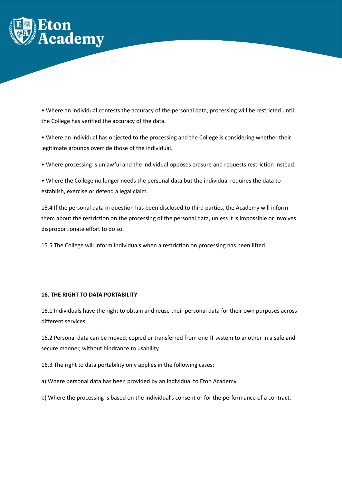

• Where an individual contests the accuracy of the personal data, processing will be restricted until the College has verified the accuracy of the data.

• Where an individual has objected to the processing and the College is considering whether their legitimate grounds override those of the individual.

• Where processing is unlawful and the individual opposes erasure and requests restriction instead.

• Where the College no longer needs the personal data but the individual requires the data to establish, exercise or defend a legal claim.

15.4 If the personal data in question has been disclosed to third parties, the Academy will inform them about the restriction on the processing of the personal data, unless it is impossible or involves disproportionate effort to do so.

15.5 The College will inform individuals when a restriction on processing has been lifted.

## **16. THE RIGHT TO DATA PORTABILITY**

16.1 Individuals have the right to obtain and reuse their personal data for their own purposes across different services.

16.2 Personal data can be moved, copied or transferred from one IT system to another in a safe and secure manner, without hindrance to usability.

16.3 The right to data portability only applies in the following cases:

a) Where personal data has been provided by an individual to Eton Academy.

b) Where the processing is based on the individual's consent or for the performance of a contract.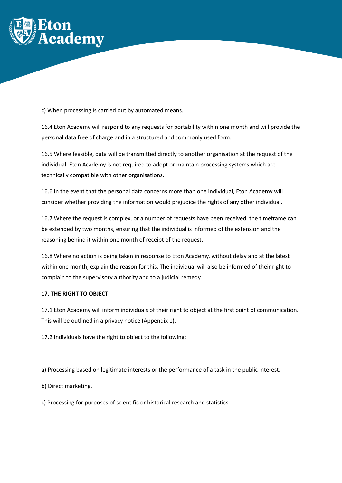

c) When processing is carried out by automated means.

16.4 Eton Academy will respond to any requests for portability within one month and will provide the personal data free of charge and in a structured and commonly used form.

16.5 Where feasible, data will be transmitted directly to another organisation at the request of the individual. Eton Academy is not required to adopt or maintain processing systems which are technically compatible with other organisations.

16.6 In the event that the personal data concerns more than one individual, Eton Academy will consider whether providing the information would prejudice the rights of any other individual.

16.7 Where the request is complex, or a number of requests have been received, the timeframe can be extended by two months, ensuring that the individual is informed of the extension and the reasoning behind it within one month of receipt of the request.

16.8 Where no action is being taken in response to Eton Academy, without delay and at the latest within one month, explain the reason for this. The individual will also be informed of their right to complain to the supervisory authority and to a judicial remedy.

# **17. THE RIGHT TO OBJECT**

17.1 Eton Academy will inform individuals of their right to object at the first point of communication. This will be outlined in a privacy notice (Appendix 1).

17.2 Individuals have the right to object to the following:

a) Processing based on legitimate interests or the performance of a task in the public interest.

b) Direct marketing.

c) Processing for purposes of scientific or historical research and statistics.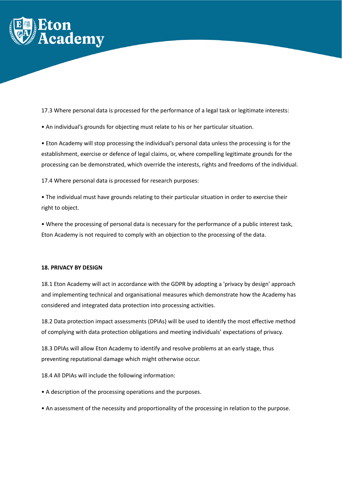

17.3 Where personal data is processed for the performance of a legal task or legitimate interests:

• An individual's grounds for objecting must relate to his or her particular situation.

• Eton Academy will stop processing the individual's personal data unless the processing is for the establishment, exercise or defence of legal claims, or, where compelling legitimate grounds for the processing can be demonstrated, which override the interests, rights and freedoms of the individual.

17.4 Where personal data is processed for research purposes:

• The individual must have grounds relating to their particular situation in order to exercise their right to object.

• Where the processing of personal data is necessary for the performance of a public interest task, Eton Academy is not required to comply with an objection to the processing of the data.

## **18. PRIVACY BY DESIGN**

18.1 Eton Academy will act in accordance with the GDPR by adopting a 'privacy by design' approach and implementing technical and organisational measures which demonstrate how the Academy has considered and integrated data protection into processing activities.

18.2 Data protection impact assessments (DPIAs) will be used to identify the most effective method of complying with data protection obligations and meeting individuals' expectations of privacy.

18.3 DPIAs will allow Eton Academy to identify and resolve problems at an early stage, thus preventing reputational damage which might otherwise occur.

18.4 All DPIAs will include the following information:

- A description of the processing operations and the purposes.
- An assessment of the necessity and proportionality of the processing in relation to the purpose.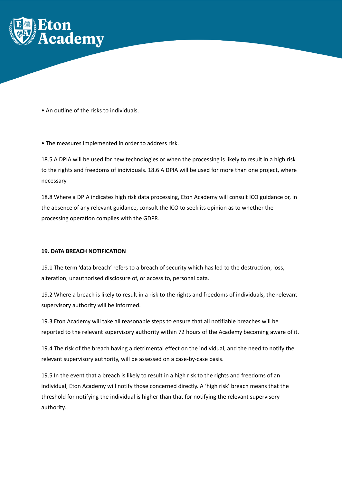

• An outline of the risks to individuals.

• The measures implemented in order to address risk.

18.5 A DPIA will be used for new technologies or when the processing is likely to result in a high risk to the rights and freedoms of individuals. 18.6 A DPIA will be used for more than one project, where necessary.

18.8 Where a DPIA indicates high risk data processing, Eton Academy will consult ICO guidance or, in the absence of any relevant guidance, consult the ICO to seek its opinion as to whether the processing operation complies with the GDPR.

# **19. DATA BREACH NOTIFICATION**

19.1 The term 'data breach' refers to a breach of security which has led to the destruction, loss, alteration, unauthorised disclosure of, or access to, personal data.

19.2 Where a breach is likely to result in a risk to the rights and freedoms of individuals, the relevant supervisory authority will be informed.

19.3 Eton Academy will take all reasonable steps to ensure that all notifiable breaches will be reported to the relevant supervisory authority within 72 hours of the Academy becoming aware of it.

19.4 The risk of the breach having a detrimental effect on the individual, and the need to notify the relevant supervisory authority, will be assessed on a case-by-case basis.

19.5 In the event that a breach is likely to result in a high risk to the rights and freedoms of an individual, Eton Academy will notify those concerned directly. A 'high risk' breach means that the threshold for notifying the individual is higher than that for notifying the relevant supervisory authority.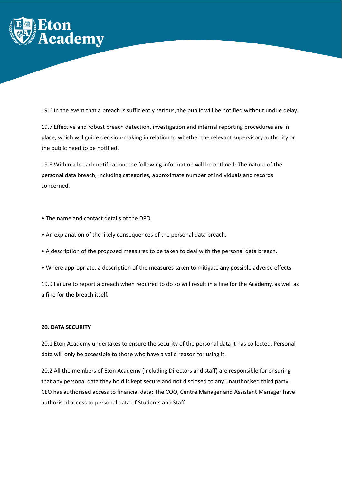

19.6 In the event that a breach is sufficiently serious, the public will be notified without undue delay.

19.7 Effective and robust breach detection, investigation and internal reporting procedures are in place, which will guide decision-making in relation to whether the relevant supervisory authority or the public need to be notified.

19.8 Within a breach notification, the following information will be outlined: The nature of the personal data breach, including categories, approximate number of individuals and records concerned.

- The name and contact details of the DPO.
- An explanation of the likely consequences of the personal data breach.
- A description of the proposed measures to be taken to deal with the personal data breach.
- Where appropriate, a description of the measures taken to mitigate any possible adverse effects.

19.9 Failure to report a breach when required to do so will result in a fine for the Academy, as well as a fine for the breach itself.

#### **20. DATA SECURITY**

20.1 Eton Academy undertakes to ensure the security of the personal data it has collected. Personal data will only be accessible to those who have a valid reason for using it.

20.2 All the members of Eton Academy (including Directors and staff) are responsible for ensuring that any personal data they hold is kept secure and not disclosed to any unauthorised third party. CEO has authorised access to financial data; The COO, Centre Manager and Assistant Manager have authorised access to personal data of Students and Staff.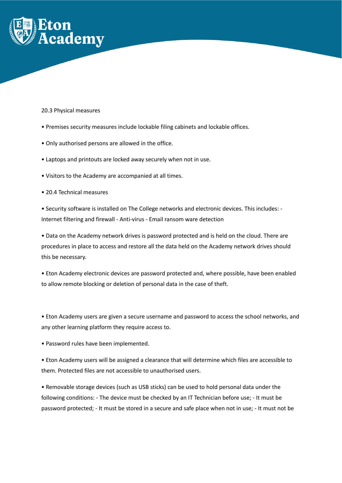

20.3 Physical measures

- Premises security measures include lockable filing cabinets and lockable offices.
- Only authorised persons are allowed in the office.
- Laptops and printouts are locked away securely when not in use.
- Visitors to the Academy are accompanied at all times.
- 20.4 Technical measures

• Security software is installed on The College networks and electronic devices. This includes: - Internet filtering and firewall - Anti-virus - Email ransom ware detection

• Data on the Academy network drives is password protected and is held on the cloud. There are procedures in place to access and restore all the data held on the Academy network drives should this be necessary.

• Eton Academy electronic devices are password protected and, where possible, have been enabled to allow remote blocking or deletion of personal data in the case of theft.

• Eton Academy users are given a secure username and password to access the school networks, and any other learning platform they require access to.

• Password rules have been implemented.

• Eton Academy users will be assigned a clearance that will determine which files are accessible to them. Protected files are not accessible to unauthorised users.

• Removable storage devices (such as USB sticks) can be used to hold personal data under the following conditions: - The device must be checked by an IT Technician before use; - It must be password protected; - It must be stored in a secure and safe place when not in use; - It must not be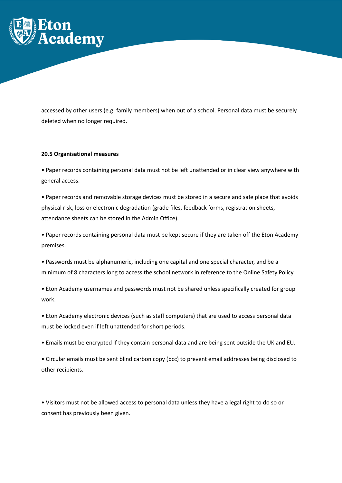

accessed by other users (e.g. family members) when out of a school. Personal data must be securely deleted when no longer required.

## **20.5 Organisational measures**

• Paper records containing personal data must not be left unattended or in clear view anywhere with general access.

• Paper records and removable storage devices must be stored in a secure and safe place that avoids physical risk, loss or electronic degradation (grade files, feedback forms, registration sheets, attendance sheets can be stored in the Admin Office).

• Paper records containing personal data must be kept secure if they are taken off the Eton Academy premises.

• Passwords must be alphanumeric, including one capital and one special character, and be a minimum of 8 characters long to access the school network in reference to the Online Safety Policy.

• Eton Academy usernames and passwords must not be shared unless specifically created for group work.

• Eton Academy electronic devices (such as staff computers) that are used to access personal data must be locked even if left unattended for short periods.

• Emails must be encrypted if they contain personal data and are being sent outside the UK and EU.

• Circular emails must be sent blind carbon copy (bcc) to prevent email addresses being disclosed to other recipients.

• Visitors must not be allowed access to personal data unless they have a legal right to do so or consent has previously been given.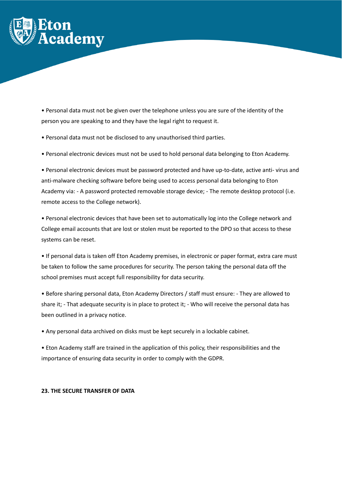

• Personal data must not be given over the telephone unless you are sure of the identity of the person you are speaking to and they have the legal right to request it.

- Personal data must not be disclosed to any unauthorised third parties.
- Personal electronic devices must not be used to hold personal data belonging to Eton Academy.

• Personal electronic devices must be password protected and have up-to-date, active anti- virus and anti-malware checking software before being used to access personal data belonging to Eton Academy via: - A password protected removable storage device; - The remote desktop protocol (i.e. remote access to the College network).

• Personal electronic devices that have been set to automatically log into the College network and College email accounts that are lost or stolen must be reported to the DPO so that access to these systems can be reset.

• If personal data is taken off Eton Academy premises, in electronic or paper format, extra care must be taken to follow the same procedures for security. The person taking the personal data off the school premises must accept full responsibility for data security.

• Before sharing personal data, Eton Academy Directors / staff must ensure: - They are allowed to share it; - That adequate security is in place to protect it; - Who will receive the personal data has been outlined in a privacy notice.

• Any personal data archived on disks must be kept securely in a lockable cabinet.

• Eton Academy staff are trained in the application of this policy, their responsibilities and the importance of ensuring data security in order to comply with the GDPR.

## **23. THE SECURE TRANSFER OF DATA**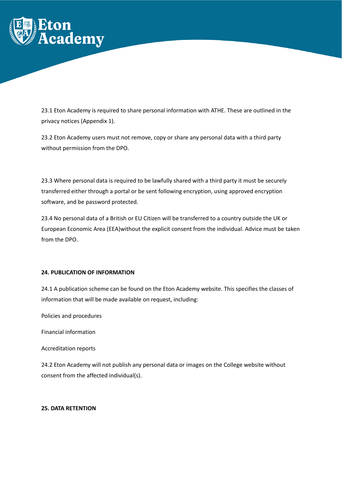

23.1 Eton Academy is required to share personal information with ATHE. These are outlined in the privacy notices (Appendix 1).

23.2 Eton Academy users must not remove, copy or share any personal data with a third party without permission from the DPO.

23.3 Where personal data is required to be lawfully shared with a third party it must be securely transferred either through a portal or be sent following encryption, using approved encryption software, and be password protected.

23.4 No personal data of a British or EU Citizen will be transferred to a country outside the UK or European Economic Area (EEA)without the explicit consent from the individual. Advice must be taken from the DPO.

## **24. PUBLICATION OF INFORMATION**

24.1 A publication scheme can be found on the Eton Academy website. This specifies the classes of information that will be made available on request, including:

Policies and procedures

Financial information

Accreditation reports

24.2 Eton Academy will not publish any personal data or images on the College website without consent from the affected individual(s).

## **25. DATA RETENTION**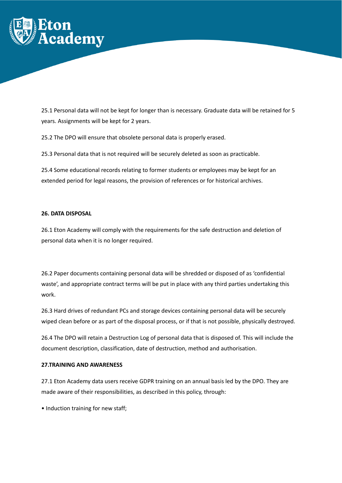

25.1 Personal data will not be kept for longer than is necessary. Graduate data will be retained for 5 years. Assignments will be kept for 2 years.

25.2 The DPO will ensure that obsolete personal data is properly erased.

25.3 Personal data that is not required will be securely deleted as soon as practicable.

25.4 Some educational records relating to former students or employees may be kept for an extended period for legal reasons, the provision of references or for historical archives.

## **26. DATA DISPOSAL**

26.1 Eton Academy will comply with the requirements for the safe destruction and deletion of personal data when it is no longer required.

26.2 Paper documents containing personal data will be shredded or disposed of as 'confidential waste', and appropriate contract terms will be put in place with any third parties undertaking this work.

26.3 Hard drives of redundant PCs and storage devices containing personal data will be securely wiped clean before or as part of the disposal process, or if that is not possible, physically destroyed.

26.4 The DPO will retain a Destruction Log of personal data that is disposed of. This will include the document description, classification, date of destruction, method and authorisation.

## **27.TRAINING AND AWARENESS**

27.1 Eton Academy data users receive GDPR training on an annual basis led by the DPO. They are made aware of their responsibilities, as described in this policy, through:

• Induction training for new staff;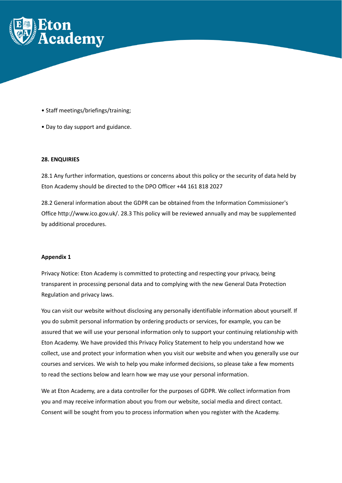

- Staff meetings/briefings/training;
- Day to day support and guidance.

## **28. ENQUIRIES**

28.1 Any further information, questions or concerns about this policy or the security of data held by Eton Academy should be directed to the DPO Officer +44 161 818 2027

28.2 General information about the GDPR can be obtained from the Information Commissioner's Office http://www.ico.gov.uk/. 28.3 This policy will be reviewed annually and may be supplemented by additional procedures.

## **Appendix 1**

Privacy Notice: Eton Academy is committed to protecting and respecting your privacy, being transparent in processing personal data and to complying with the new General Data Protection Regulation and privacy laws.

You can visit our website without disclosing any personally identifiable information about yourself. If you do submit personal information by ordering products or services, for example, you can be assured that we will use your personal information only to support your continuing relationship with Eton Academy. We have provided this Privacy Policy Statement to help you understand how we collect, use and protect your information when you visit our website and when you generally use our courses and services. We wish to help you make informed decisions, so please take a few moments to read the sections below and learn how we may use your personal information.

We at Eton Academy, are a data controller for the purposes of GDPR. We collect information from you and may receive information about you from our website, social media and direct contact. Consent will be sought from you to process information when you register with the Academy.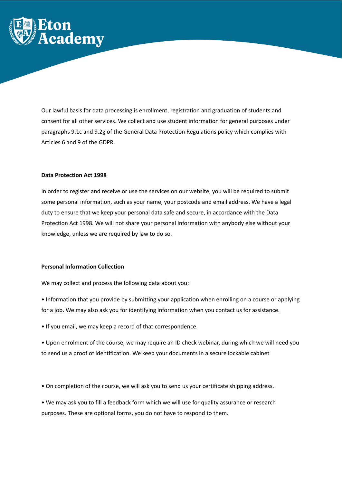

Our lawful basis for data processing is enrollment, registration and graduation of students and consent for all other services. We collect and use student information for general purposes under paragraphs 9.1c and 9.2g of the General Data Protection Regulations policy which complies with Articles 6 and 9 of the GDPR.

#### **Data Protection Act 1998**

In order to register and receive or use the services on our website, you will be required to submit some personal information, such as your name, your postcode and email address. We have a legal duty to ensure that we keep your personal data safe and secure, in accordance with the Data Protection Act 1998. We will not share your personal information with anybody else without your knowledge, unless we are required by law to do so.

## **Personal Information Collection**

We may collect and process the following data about you:

• Information that you provide by submitting your application when enrolling on a course or applying for a job. We may also ask you for identifying information when you contact us for assistance.

• If you email, we may keep a record of that correspondence.

• Upon enrolment of the course, we may require an ID check webinar, during which we will need you to send us a proof of identification. We keep your documents in a secure lockable cabinet

• On completion of the course, we will ask you to send us your certificate shipping address.

• We may ask you to fill a feedback form which we will use for quality assurance or research purposes. These are optional forms, you do not have to respond to them.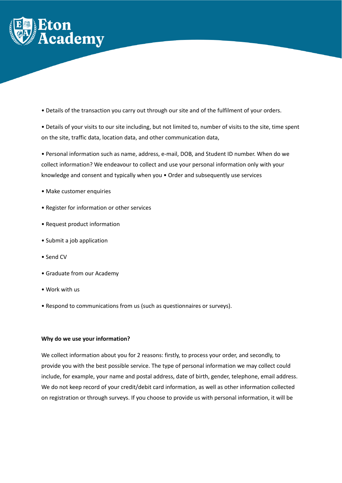

• Details of the transaction you carry out through our site and of the fulfilment of your orders.

• Details of your visits to our site including, but not limited to, number of visits to the site, time spent on the site, traffic data, location data, and other communication data,

• Personal information such as name, address, e-mail, DOB, and Student ID number. When do we collect information? We endeavour to collect and use your personal information only with your knowledge and consent and typically when you • Order and subsequently use services

- Make customer enquiries
- Register for information or other services
- Request product information
- Submit a job application
- Send CV
- Graduate from our Academy
- Work with us
- Respond to communications from us (such as questionnaires or surveys).

#### **Why do we use your information?**

We collect information about you for 2 reasons: firstly, to process your order, and secondly, to provide you with the best possible service. The type of personal information we may collect could include, for example, your name and postal address, date of birth, gender, telephone, email address. We do not keep record of your credit/debit card information, as well as other information collected on registration or through surveys. If you choose to provide us with personal information, it will be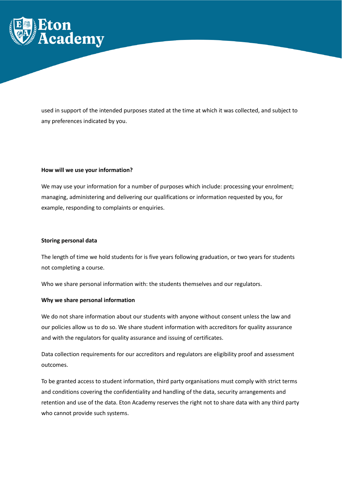

used in support of the intended purposes stated at the time at which it was collected, and subject to any preferences indicated by you.

## **How will we use your information?**

We may use your information for a number of purposes which include: processing your enrolment; managing, administering and delivering our qualifications or information requested by you, for example, responding to complaints or enquiries.

## **Storing personal data**

The length of time we hold students for is five years following graduation, or two years for students not completing a course.

Who we share personal information with: the students themselves and our regulators.

#### **Why we share personal information**

We do not share information about our students with anyone without consent unless the law and our policies allow us to do so. We share student information with accreditors for quality assurance and with the regulators for quality assurance and issuing of certificates.

Data collection requirements for our accreditors and regulators are eligibility proof and assessment outcomes.

To be granted access to student information, third party organisations must comply with strict terms and conditions covering the confidentiality and handling of the data, security arrangements and retention and use of the data. Eton Academy reserves the right not to share data with any third party who cannot provide such systems.